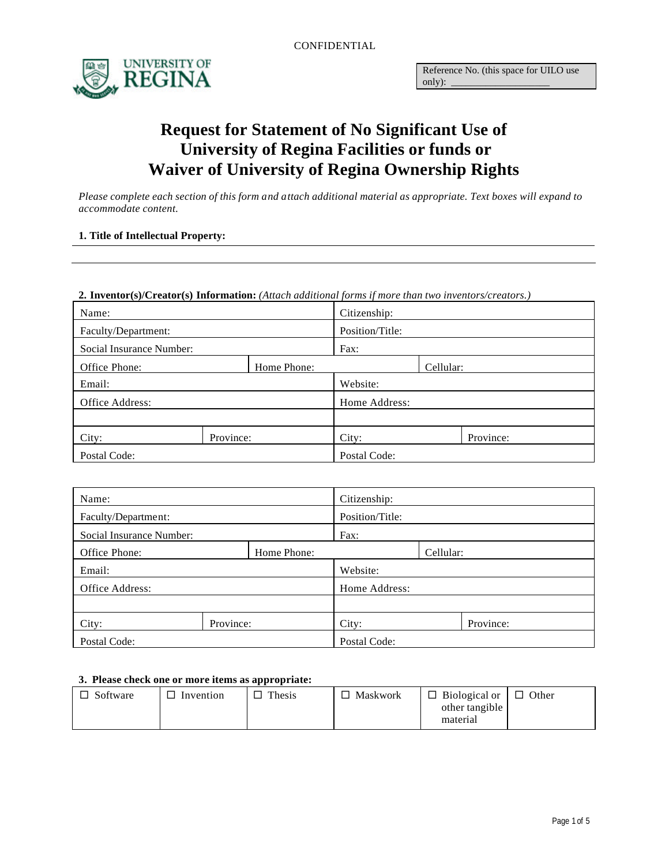

# **Request for Statement of No Significant Use of University of Regina Facilities or funds or Waiver of University of Regina Ownership Rights**

*Please complete each section of this form and attach additional material as appropriate. Text boxes will expand to accommodate content.*

### **1. Title of Intellectual Property:**

#### **2. Inventor(s)/Creator(s) Information:** *(Attach additional forms if more than two inventors/creators.)*

| Name:                    |           |                 | Citizenship: |           |           |
|--------------------------|-----------|-----------------|--------------|-----------|-----------|
| Faculty/Department:      |           | Position/Title: |              |           |           |
| Social Insurance Number: |           | Fax:            |              |           |           |
| Office Phone:            |           | Home Phone:     |              | Cellular: |           |
| Email:                   |           | Website:        |              |           |           |
| Office Address:          |           | Home Address:   |              |           |           |
|                          |           |                 |              |           |           |
| City:                    | Province: |                 | City:        |           | Province: |
| Postal Code:             |           |                 | Postal Code: |           |           |

| Name:                    |           |                 | Citizenship: |           |           |
|--------------------------|-----------|-----------------|--------------|-----------|-----------|
| Faculty/Department:      |           | Position/Title: |              |           |           |
| Social Insurance Number: |           | Fax:            |              |           |           |
| Office Phone:            |           | Home Phone:     |              | Cellular: |           |
| Email:                   |           | Website:        |              |           |           |
| Office Address:          |           | Home Address:   |              |           |           |
|                          |           |                 |              |           |           |
| City:                    | Province: |                 | City:        |           | Province: |
| Postal Code:             |           |                 | Postal Code: |           |           |

#### **3. Please check one or more items as appropriate:**

| −<br>Software | Invention | Thesis<br>− | Maskwork | $\Box$ Biological or $\parallel$ | $\Box$ Other |
|---------------|-----------|-------------|----------|----------------------------------|--------------|
|               |           |             |          | other tangible                   |              |
|               |           |             |          | material                         |              |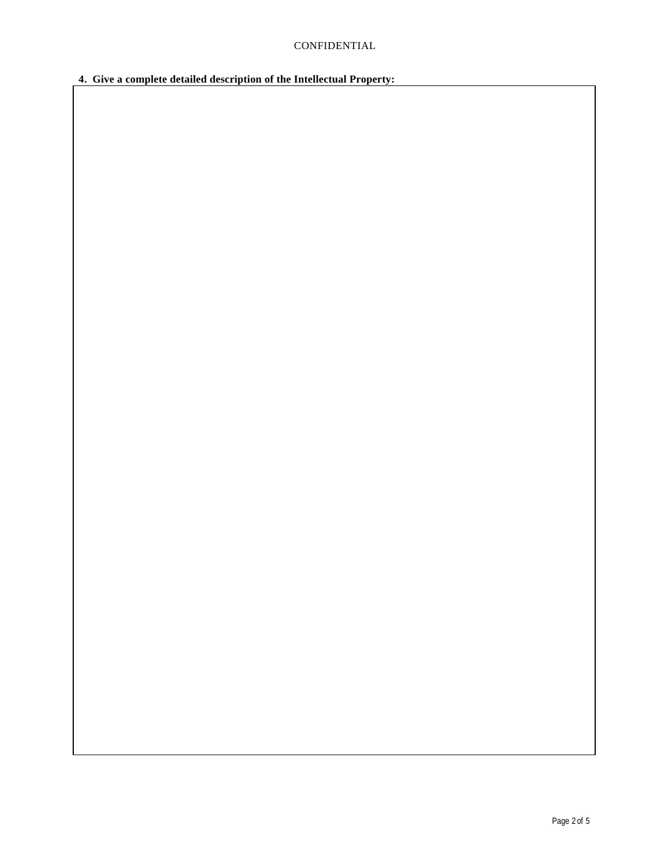**4. Give a complete detailed description of the Intellectual Property:**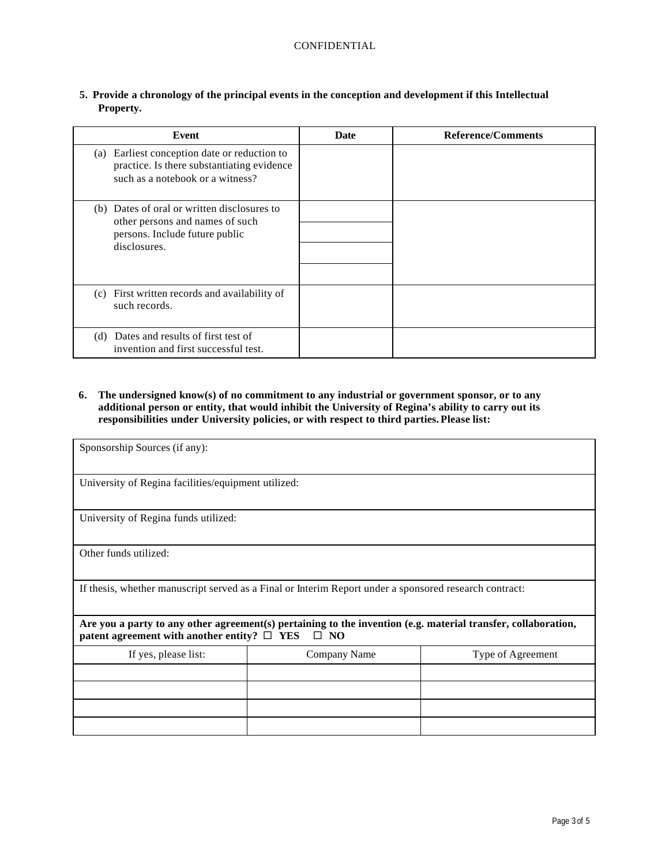| Event                                                                                                                             | Date | <b>Reference/Comments</b> |
|-----------------------------------------------------------------------------------------------------------------------------------|------|---------------------------|
| Earliest conception date or reduction to<br>(a)<br>practice. Is there substantiating evidence<br>such as a notebook or a witness? |      |                           |
| (b) Dates of oral or written disclosures to<br>other persons and names of such<br>persons. Include future public<br>disclosures.  |      |                           |
| (c) First written records and availability of<br>such records.                                                                    |      |                           |
| (d) Dates and results of first test of<br>invention and first successful test.                                                    |      |                           |

**5. Provide a chronology of the principal events in the conception and development if this Intellectual Property.**

**6. The undersigned know(s) of no commitment to any industrial or government sponsor, or to any additional person or entity, that would inhibit the University of Regina's ability to carry out its responsibilities under University policies, or with respect to third parties. Please list:**

| Sponsorship Sources (if any):                                                                                                                                                     |                                                     |                   |  |  |  |
|-----------------------------------------------------------------------------------------------------------------------------------------------------------------------------------|-----------------------------------------------------|-------------------|--|--|--|
|                                                                                                                                                                                   | University of Regina facilities/equipment utilized: |                   |  |  |  |
| University of Regina funds utilized:                                                                                                                                              |                                                     |                   |  |  |  |
| Other funds utilized:                                                                                                                                                             |                                                     |                   |  |  |  |
| If thesis, whether manuscript served as a Final or Interim Report under a sponsored research contract:                                                                            |                                                     |                   |  |  |  |
| Are you a party to any other agreement(s) pertaining to the invention (e.g. material transfer, collaboration,<br>patent agreement with another entity? $\Box$ YES<br>$\square$ NO |                                                     |                   |  |  |  |
| If yes, please list:                                                                                                                                                              | Company Name                                        | Type of Agreement |  |  |  |
|                                                                                                                                                                                   |                                                     |                   |  |  |  |
|                                                                                                                                                                                   |                                                     |                   |  |  |  |
|                                                                                                                                                                                   |                                                     |                   |  |  |  |
|                                                                                                                                                                                   |                                                     |                   |  |  |  |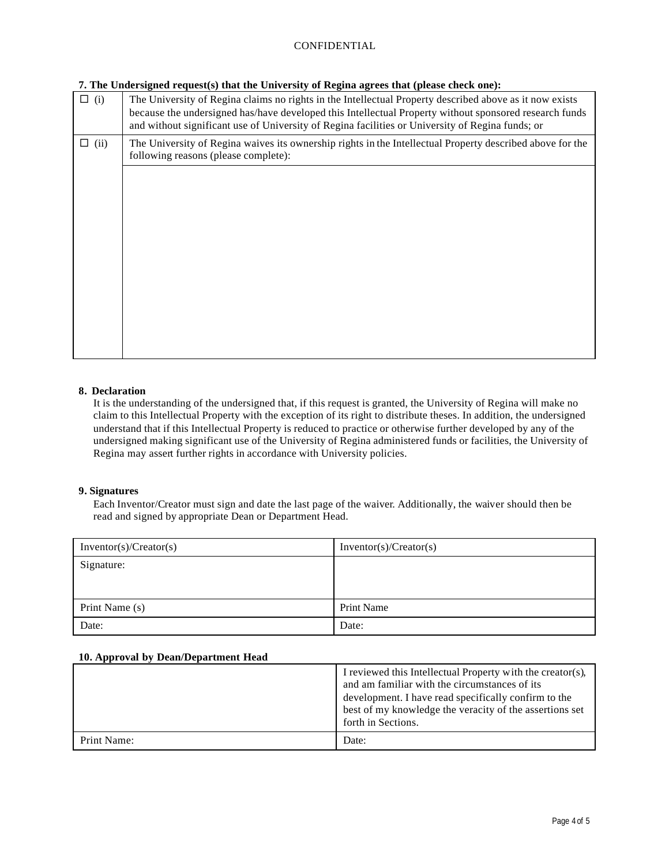# CONFIDENTIAL

#### **7. The Undersigned request(s) that the University of Regina agrees that (please check one):**

| $\Box$ (i)  | The University of Regina claims no rights in the Intellectual Property described above as it now exists<br>because the undersigned has/have developed this Intellectual Property without sponsored research funds<br>and without significant use of University of Regina facilities or University of Regina funds; or |
|-------------|-----------------------------------------------------------------------------------------------------------------------------------------------------------------------------------------------------------------------------------------------------------------------------------------------------------------------|
| $\Box$ (ii) | The University of Regina waives its ownership rights in the Intellectual Property described above for the<br>following reasons (please complete):                                                                                                                                                                     |
|             |                                                                                                                                                                                                                                                                                                                       |
|             |                                                                                                                                                                                                                                                                                                                       |
|             |                                                                                                                                                                                                                                                                                                                       |
|             |                                                                                                                                                                                                                                                                                                                       |
|             |                                                                                                                                                                                                                                                                                                                       |
|             |                                                                                                                                                                                                                                                                                                                       |
|             |                                                                                                                                                                                                                                                                                                                       |

## **8. Declaration**

It is the understanding of the undersigned that, if this request is granted, the University of Regina will make no claim to this Intellectual Property with the exception of its right to distribute theses. In addition, the undersigned understand that if this Intellectual Property is reduced to practice or otherwise further developed by any of the undersigned making significant use of the University of Regina administered funds or facilities, the University of Regina may assert further rights in accordance with University policies.

#### **9. Signatures**

Each Inventor/Creator must sign and date the last page of the waiver. Additionally, the waiver should then be read and signed by appropriate Dean or Department Head.

| Inventor(s)/Create(s) | Inventor(s)/Create(s) |
|-----------------------|-----------------------|
| Signature:            |                       |
|                       |                       |
|                       |                       |
| Print Name (s)        | Print Name            |
| Date:                 | Date:                 |

#### **10. Approval by Dean/Department Head**

|             | I reviewed this Intellectual Property with the creator(s),<br>and am familiar with the circumstances of its<br>development. I have read specifically confirm to the<br>best of my knowledge the veracity of the assertions set<br>forth in Sections. |
|-------------|------------------------------------------------------------------------------------------------------------------------------------------------------------------------------------------------------------------------------------------------------|
| Print Name: | Date:                                                                                                                                                                                                                                                |